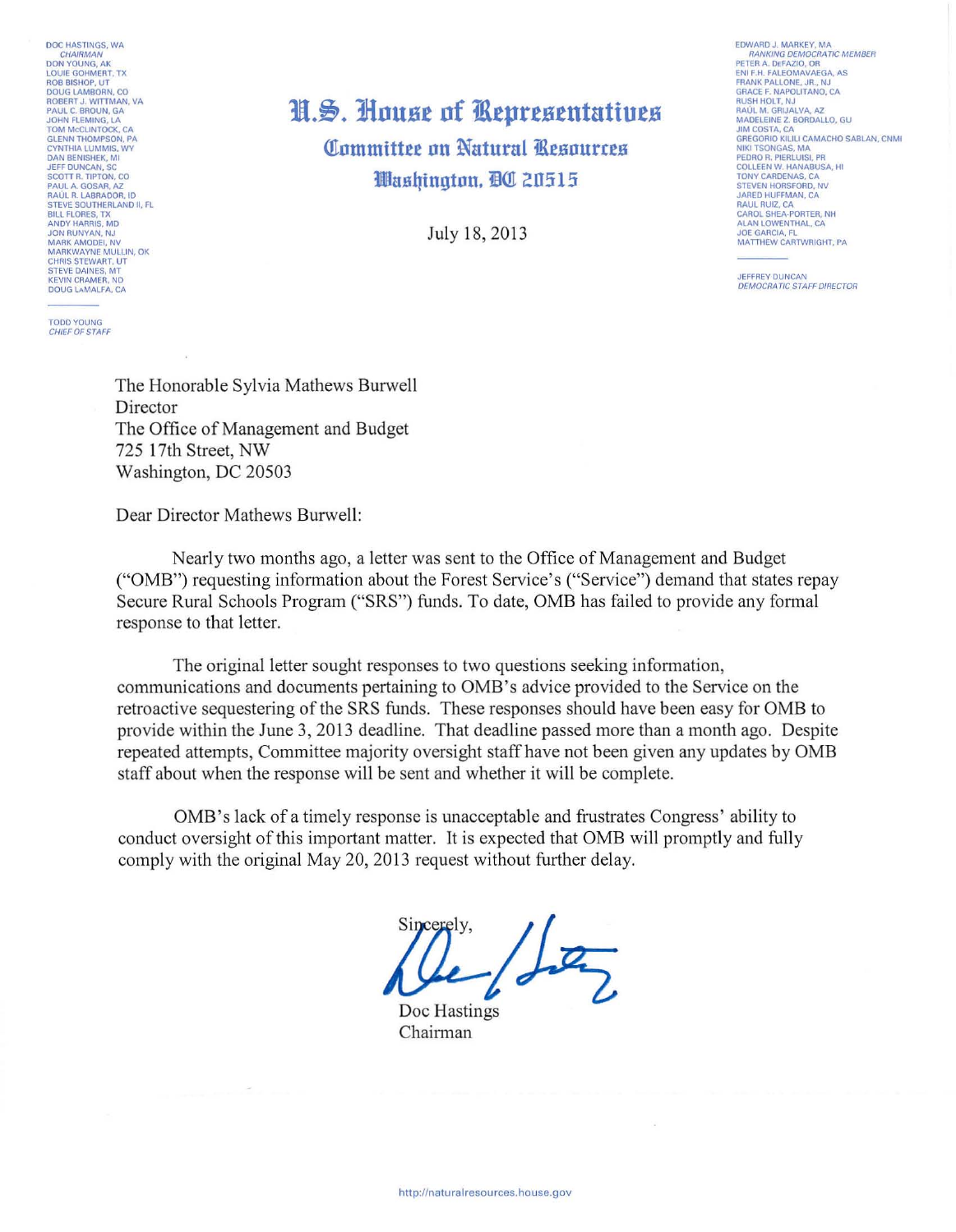DOC HASTINGS, WA CHAIRMAN<br>DON YOUNG, AK LOUIE GOHMERT, TX<br>ROB BISHOP, UT<br>DOUG LAMBORN, CO ROBERT J. WITTMAN, VA<br>PAUL C. BROUN, GA<br>JOHN FLEMING, LA<br>TOM MCCLINTOCK, CA GLENN THOMPSON, PA<br>CYNTHIA LUMMIS, WY<br>DAN BENISHEK, MI **JEFF DUNCAN SC** SCOTT R. TIPTON, CO<br>PAUL A. GOSAR, AZ<br>RAÚL R. LABRADOR, ID STEVE SOUTHERLAND II, FL<br>BILL FLORES, TX<br>ANDY HARRIS, MD JON RUNYAN, NJ<br>MARK AMODEI, NV<br>MARKWAYNE MULLIN, OK CHRIS STEWART, UT STEVE DAINES, MT<br>KEVIN CRAMER, ND<br>DOUG LAMALFA, CA

**TODD YOUNG** CHIEF OF STAFF

## H.S. House of Representatives

Committee on Natural Resources Washington, DC 20515

July 18, 2013

**FDWARD J. MARKEY MA** RANKING DEMOCRATIC MEMBER<br>PETER A. DEFAZIO, OR ENI F.H. FALEOMAVAEGA, AS FRANK PALLONE, JR., NJ<br>GRACE F. NAPOLITANO, CA **RUSH HOLT, NJ** ROSH HOLT, NJ<br>RAÚL M. GRIJALVA, AZ<br>MADELEINE Z. BORDALLO, GU<br>JIM COSTA, CA GREGORIO KILILI CAMACHO SABLAN, CNMI NIKI TSONGAS, MA<br>PEDRO R. PIERLUISI, PR<br>COLLEEN W. HANABUSA, HI TONY CARDENAS, CA<br>STEVEN HORSFORD, NV<br>JARED HUFFMAN, CA BAUL RUIZ, CA<br>CAROL SHEA-PORTER, NH<br>ALAN LOWENTHAL, CA JOE GARCIA, FL<br>MATTHEW CARTWRIGHT, PA

**JEFFREY DUNCAN DEMOCRATIC STAFF DIRECTOR** 

The Honorable Sylvia Mathews Burwell Director The Office of Management and Budget 725 17th Street, NW Washington, DC 20503

Dear Director Mathews Burwell:

Nearly two months ago, a letter was sent to the Office of Management and Budget ("OMB") requesting information about the Forest Service's ("Service") demand that states repay Secure Rural Schools Program ("SRS") funds. To date, OMB has failed to provide any formal response to that letter.

The original letter sought responses to two questions seeking information, communications and documents pertaining to OMB's advice provided to the Service on the retroactive sequestering of the SRS funds. These responses should have been easy for OMB to provide within the June 3, 2013 deadline. That deadline passed more than a month ago. Despite repeated attempts, Committee majority oversight staff have not been given any updates by OMB staff about when the response will be sent and whether it will be complete.

OMB's lack of a timely response is unacceptable and frustrates Congress' ability to conduct oversight of this important matter. It is expected that OMB will promptly and fully comply with the original May 20, 2013 request without further delay.

Doc Hastings Chairman